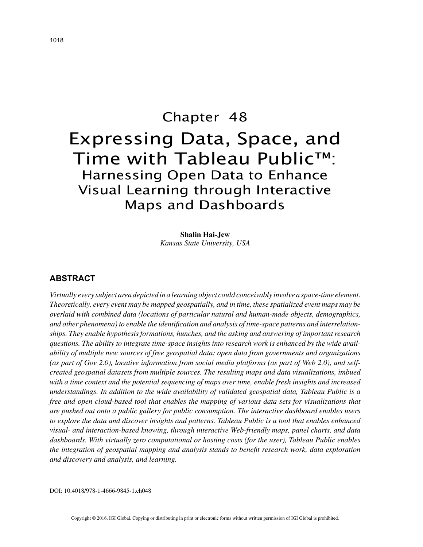# Chapter 48 Expressing Data, Space, and Time with Tableau Public™: Harnessing Open Data to Enhance Visual Learning through Interactive Maps and Dashboards

**Shalin Hai-Jew** *Kansas State University, USA*

# **ABSTRACT**

*Virtually every subject area depicted in a learning object could conceivably involve a space-time element. Theoretically, every event may be mapped geospatially, and in time, these spatialized event maps may be overlaid with combined data (locations of particular natural and human-made objects, demographics, and other phenomena) to enable the identification and analysis of time-space patterns and interrelationships. They enable hypothesis formations, hunches, and the asking and answering of important research questions. The ability to integrate time-space insights into research work is enhanced by the wide availability of multiple new sources of free geospatial data: open data from governments and organizations (as part of Gov 2.0), locative information from social media platforms (as part of Web 2.0), and selfcreated geospatial datasets from multiple sources. The resulting maps and data visualizations, imbued with a time context and the potential sequencing of maps over time, enable fresh insights and increased understandings. In addition to the wide availability of validated geospatial data, Tableau Public is a free and open cloud-based tool that enables the mapping of various data sets for visualizations that are pushed out onto a public gallery for public consumption. The interactive dashboard enables users to explore the data and discover insights and patterns. Tableau Public is a tool that enables enhanced visual- and interaction-based knowing, through interactive Web-friendly maps, panel charts, and data dashboards. With virtually zero computational or hosting costs (for the user), Tableau Public enables the integration of geospatial mapping and analysis stands to benefit research work, data exploration and discovery and analysis, and learning.*

DOI: 10.4018/978-1-4666-9845-1.ch048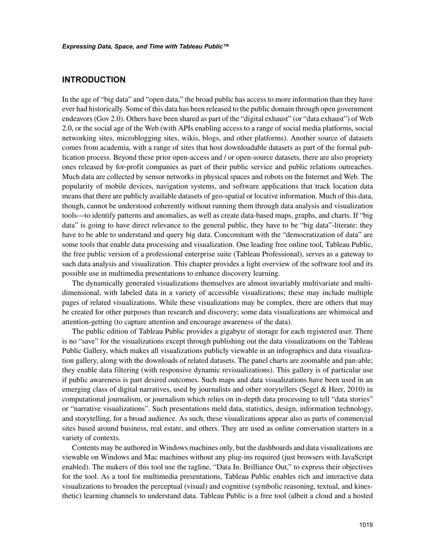# **INTRODUCTION**

In the age of "big data" and "open data," the broad public has access to more information than they have ever had historically. Some of this data has been released to the public domain through open government endeavors (Gov 2.0). Others have been shared as part of the "digital exhaust" (or "data exhaust") of Web 2.0, or the social age of the Web (with APIs enabling access to a range of social media platforms, social networking sites, microblogging sites, wikis, blogs, and other platforms). Another source of datasets comes from academia, with a range of sites that host downloadable datasets as part of the formal publication process. Beyond these prior open-access and / or open-source datasets, there are also propriety ones released by for-profit companies as part of their public service and public relations outreaches. Much data are collected by sensor networks in physical spaces and robots on the Internet and Web. The popularity of mobile devices, navigation systems, and software applications that track location data means that there are publicly available datasets of geo-spatial or locative information. Much of this data, though, cannot be understood coherently without running them through data analysis and visualization tools—to identify patterns and anomalies, as well as create data-based maps, graphs, and charts. If "big data" is going to have direct relevance to the general public, they have to be "big data"-literate: they have to be able to understand and query big data. Concomitant with the "democratization of data" are some tools that enable data processing and visualization. One leading free online tool, Tableau Public, the free public version of a professional enterprise suite (Tableau Professional), serves as a gateway to such data analysis and visualization. This chapter provides a light overview of the software tool and its possible use in multimedia presentations to enhance discovery learning.

The dynamically generated visualizations themselves are almost invariably multivariate and multidimensional, with labeled data in a variety of accessible visualizations; these may include multiple pages of related visualizations. While these visualizations may be complex, there are others that may be created for other purposes than research and discovery; some data visualizations are whimsical and attention-getting (to capture attention and encourage awareness of the data).

The public edition of Tableau Public provides a gigabyte of storage for each registered user. There is no "save" for the visualizations except through publishing out the data visualizations on the Tableau Public Gallery, which makes all visualizations publicly viewable in an infographics and data visualization gallery, along with the downloads of related datasets. The panel charts are zoomable and pan-able; they enable data filtering (with responsive dynamic revisualizations). This gallery is of particular use if public awareness is part desired outcomes. Such maps and data visualizations have been used in an emerging class of digital narratives, used by journalists and other storytellers (Segel & Heer, 2010) in computational journalism, or journalism which relies on in-depth data processing to tell "data stories" or "narrative visualizations". Such presentations meld data, statistics, design, information technology, and storytelling, for a broad audience. As such, these visualizations appear also as parts of commercial sites based around business, real estate, and others. They are used as online conversation starters in a variety of contexts.

Contents may be authored in Windows machines only, but the dashboards and data visualizations are viewable on Windows and Mac machines without any plug-ins required (just browsers with JavaScript enabled). The makers of this tool use the tagline, "Data In. Brilliance Out," to express their objectives for the tool. As a tool for multimedia presentations, Tableau Public enables rich and interactive data visualizations to broaden the perceptual (visual) and cognitive (symbolic reasoning, textual, and kinesthetic) learning channels to understand data. Tableau Public is a free tool (albeit a cloud and a hosted